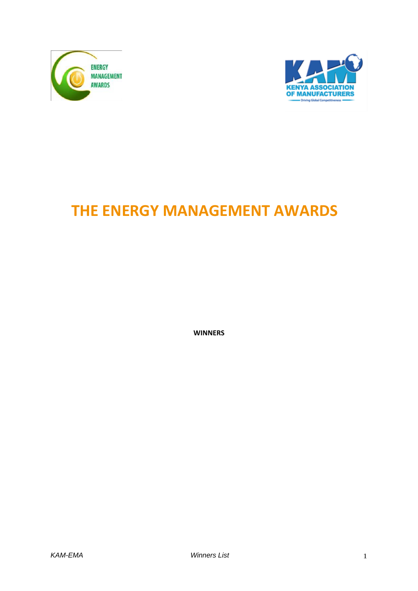



## **THE ENERGY MANAGEMENT AWARDS**

**WINNERS**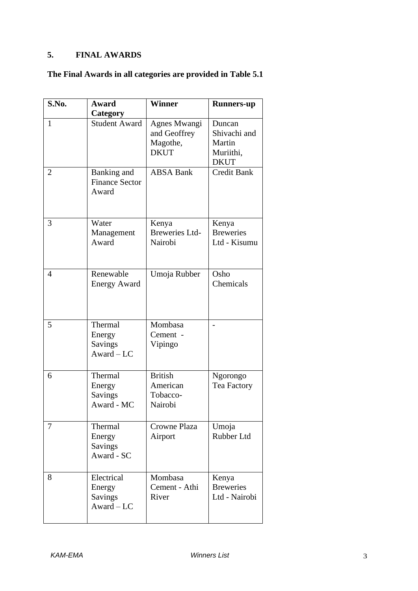## **5. FINAL AWARDS**

## **The Final Awards in all categories are provided in Table 5.1**

| S.No.          | <b>Award</b>                                           | <b>Winner</b>                                           | <b>Runners-up</b>                                            |
|----------------|--------------------------------------------------------|---------------------------------------------------------|--------------------------------------------------------------|
| 1              | Category<br><b>Student Award</b>                       | Agnes Mwangi<br>and Geoffrey<br>Magothe,<br><b>DKUT</b> | Duncan<br>Shivachi and<br>Martin<br>Muriithi,<br><b>DKUT</b> |
| $\overline{2}$ | Banking and<br><b>Finance Sector</b><br>Award          | <b>ABSA Bank</b>                                        | <b>Credit Bank</b>                                           |
| 3              | Water<br>Management<br>Award                           | Kenya<br><b>Breweries Ltd-</b><br>Nairobi               | Kenya<br><b>Breweries</b><br>Ltd - Kisumu                    |
| 4              | Renewable<br><b>Energy Award</b>                       | Umoja Rubber                                            | Osho<br>Chemicals                                            |
| 5              | Thermal<br>Energy<br><b>Savings</b><br>$Award - LC$    | Mombasa<br>Cement -<br>Vipingo                          |                                                              |
| 6              | Thermal<br>Energy<br><b>Savings</b><br>Award - MC      | <b>British</b><br>American<br>Tobacco-<br>Nairobi       | Ngorongo<br>Tea Factory                                      |
| 7              | Thermal<br>Energy<br><b>Savings</b><br>Award - SC      | Crowne Plaza<br>Airport                                 | Umoja<br>Rubber Ltd                                          |
| 8              | Electrical<br>Energy<br><b>Savings</b><br>$Award - LC$ | Mombasa<br>Cement - Athi<br>River                       | Kenya<br><b>Breweries</b><br>Ltd - Nairobi                   |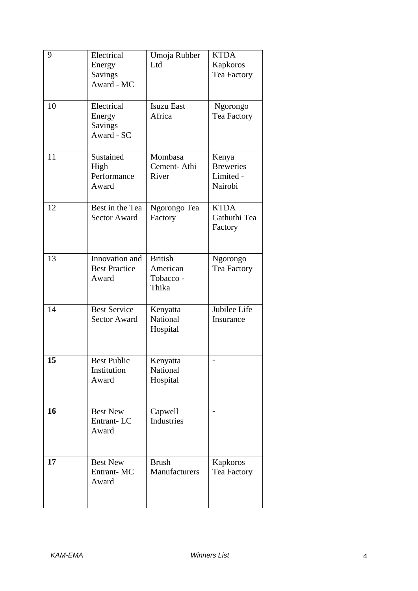| 9  | Electrical<br>Energy<br>Savings<br>Award - MC        | Umoja Rubber<br>Ltd                              | <b>KTDA</b><br>Kapkoros<br>Tea Factory            |
|----|------------------------------------------------------|--------------------------------------------------|---------------------------------------------------|
| 10 | Electrical<br>Energy<br><b>Savings</b><br>Award - SC | <b>Isuzu East</b><br>Africa                      | Ngorongo<br>Tea Factory                           |
| 11 | Sustained<br>High<br>Performance<br>Award            | Mombasa<br>Cement-Athi<br>River                  | Kenya<br><b>Breweries</b><br>Limited -<br>Nairobi |
| 12 | Best in the Tea<br><b>Sector Award</b>               | Ngorongo Tea<br>Factory                          | <b>KTDA</b><br>Gathuthi Tea<br>Factory            |
| 13 | Innovation and<br><b>Best Practice</b><br>Award      | <b>British</b><br>American<br>Tobacco -<br>Thika | Ngorongo<br>Tea Factory                           |
| 14 | <b>Best Service</b><br><b>Sector Award</b>           | Kenyatta<br>National<br>Hospital                 | Jubilee Life<br>Insurance                         |
| 15 | <b>Best Public</b><br>Institution<br>Award           | Kenyatta<br>National<br>Hospital                 |                                                   |
| 16 | <b>Best New</b><br>Entrant-LC<br>Award               | Capwell<br><b>Industries</b>                     |                                                   |
| 17 | <b>Best New</b><br>Entrant-MC<br>Award               | <b>Brush</b><br>Manufacturers                    | Kapkoros<br>Tea Factory                           |